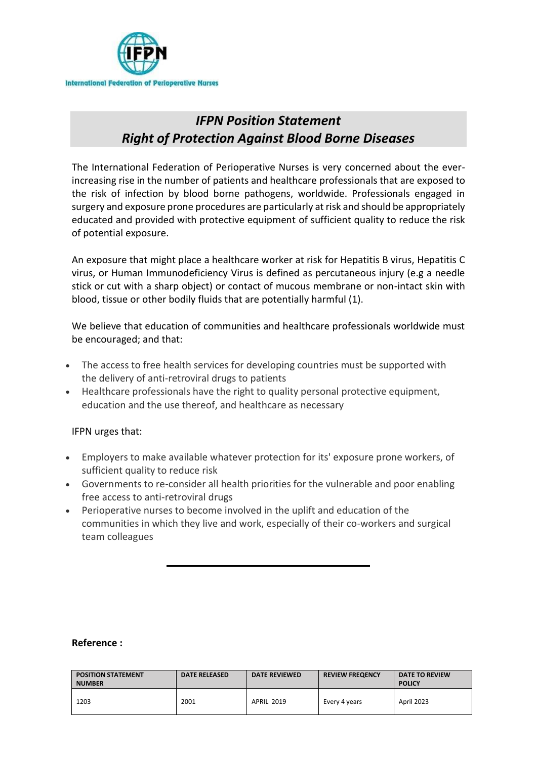

## *IFPN Position Statement Right of Protection Against Blood Borne Diseases*

The International Federation of Perioperative Nurses is very concerned about the everincreasing rise in the number of patients and healthcare professionals that are exposed to the risk of infection by blood borne pathogens, worldwide. Professionals engaged in surgery and exposure prone procedures are particularly at risk and should be appropriately educated and provided with protective equipment of sufficient quality to reduce the risk of potential exposure.

An exposure that might place a healthcare worker at risk for Hepatitis B virus, Hepatitis C virus, or Human Immunodeficiency Virus is defined as percutaneous injury (e.g a needle stick or cut with a sharp object) or contact of mucous membrane or non-intact skin with blood, tissue or other bodily fluids that are potentially harmful (1).

We believe that education of communities and healthcare professionals worldwide must be encouraged; and that:

- The access to free health services for developing countries must be supported with the delivery of anti-retroviral drugs to patients
- Healthcare professionals have the right to quality personal protective equipment, education and the use thereof, and healthcare as necessary

IFPN urges that:

- Employers to make available whatever protection for its' exposure prone workers, of sufficient quality to reduce risk
- Governments to re-consider all health priorities for the vulnerable and poor enabling free access to anti-retroviral drugs
- Perioperative nurses to become involved in the uplift and education of the communities in which they live and work, especially of their co-workers and surgical team colleagues

## **Reference :**

| <b>POSITION STATEMENT</b><br><b>NUMBER</b> | <b>DATE RELEASED</b> | <b>DATE REVIEWED</b> | <b>REVIEW FREQENCY</b> | DATE TO REVIEW<br><b>POLICY</b> |
|--------------------------------------------|----------------------|----------------------|------------------------|---------------------------------|
| 1203                                       | 2001                 | <b>APRIL 2019</b>    | Every 4 years          | April 2023                      |